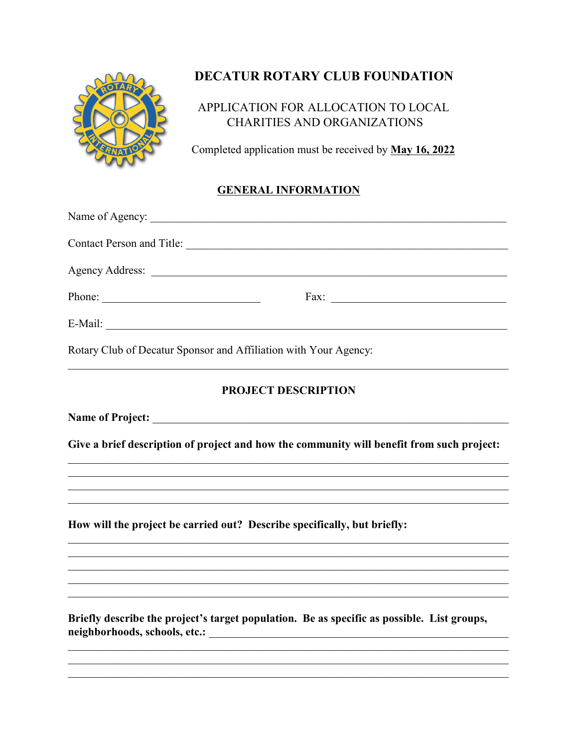

# DECATUR ROTARY CLUB FOUNDATION

## APPLICATION FOR ALLOCATION TO LOCAL **CHARITIES AND ORGANIZATIONS**

Completed application must be received by May 16, 2022

### **GENERAL INFORMATION**

| Contact Person and Title:                                                                  |
|--------------------------------------------------------------------------------------------|
|                                                                                            |
| Phone:                                                                                     |
|                                                                                            |
| Rotary Club of Decatur Sponsor and Affiliation with Your Agency:                           |
| <b>PROJECT DESCRIPTION</b>                                                                 |
|                                                                                            |
| Give a brief description of project and how the community will benefit from such project:  |
|                                                                                            |
| <u> 1989 - Johann Stoff, amerikansk politiker (d. 1989)</u>                                |
| How will the project be carried out? Describe specifically, but briefly:                   |
|                                                                                            |
|                                                                                            |
| Briefly describe the project's target population. Be as specific as possible. List groups, |
|                                                                                            |